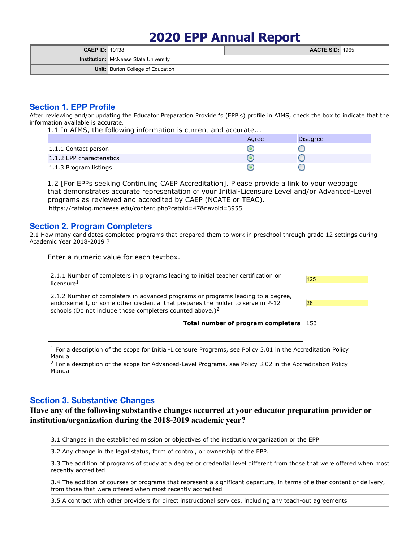# **2020 EPP Annual Report**

| <b>CAEP ID: 10138</b> |                                              | <b>AACTE SID: 1965</b> |  |
|-----------------------|----------------------------------------------|------------------------|--|
|                       | <b>Institution: McNeese State University</b> |                        |  |
|                       | <b>Unit:</b> Burton College of Education     |                        |  |

## **Section 1. EPP Profile**

After reviewing and/or updating the Educator Preparation Provider's (EPP's) profile in AIMS, check the box to indicate that the information available is accurate.

1.1 In AIMS, the following information is current and accurate...

|                           | Agree | <b>Disagree</b> |
|---------------------------|-------|-----------------|
| 1.1.1 Contact person      |       |                 |
| 1.1.2 EPP characteristics |       |                 |
| 1.1.3 Program listings    |       |                 |

1.2 [For EPPs seeking Continuing CAEP Accreditation]. Please provide a link to your webpage that demonstrates accurate representation of your Initial-Licensure Level and/or Advanced-Level programs as reviewed and accredited by CAEP (NCATE or TEAC). https://catalog.mcneese.edu/content.php?catoid=47&navoid=3955

## **Section 2. Program Completers**

2.1 How many candidates completed programs that prepared them to work in preschool through grade 12 settings during Academic Year 2018-2019 ?

Enter a numeric value for each textbox.

2.1.1 Number of completers in programs leading to initial teacher certification or  $\frac{125}{125}$  $l$ icensure $<sup>1</sup>$ </sup>

2.1.2 Number of completers in advanced programs or programs leading to <sup>a</sup> degree, endorsement, or some other credential that prepares the holder to serve in P-12 schools (Do not include those completers counted above.)<sup>2</sup>





1 For a description of the scope for Initial-Licensure Programs, see Policy 3.01 in the Accreditation Policy Manual

<sup>2</sup> For a description of the scope for Advanced-Level Programs, see Policy 3.02 in the Accreditation Policy Manual

## **Section 3. Substantive Changes**

## **Have any of the following substantive changes occurred at your educator preparation provider or institution/organization during the 2018-2019 academic year?**

3.1 Changes in the established mission or objectives of the institution/organization or the EPP

3.2 Any change in the legal status, form of control, or ownership of the EPP.

3.3 The addition of programs of study at a degree or credential level different from those that were offered when most recently accredited

3.4 The addition of courses or programs that represent a significant departure, in terms of either content or delivery, from those that were offered when most recently accredited

3.5 A contract with other providers for direct instructional services, including any teach-out agreements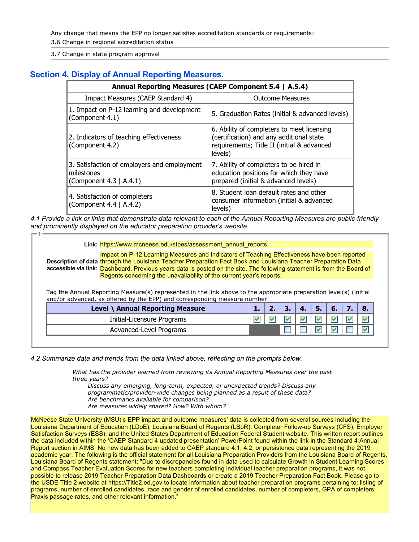Any change that means the EPP no longer satisfies accreditation standards or requirements:

3.6 Change in regional accreditation status

3.7 Change in state program approval

 $1 \longrightarrow$ 

## **Section 4. Display of Annual Reporting Measures.**

|                                                                                      | Annual Reporting Measures (CAEP Component 5.4   A.5.4)                                                                                          |
|--------------------------------------------------------------------------------------|-------------------------------------------------------------------------------------------------------------------------------------------------|
| Impact Measures (CAEP Standard 4)                                                    | <b>Outcome Measures</b>                                                                                                                         |
| 1. Impact on P-12 learning and development<br>(Component 4.1)                        | 5. Graduation Rates (initial & advanced levels)                                                                                                 |
| 2. Indicators of teaching effectiveness<br>(Component 4.2)                           | 6. Ability of completers to meet licensing<br>(certification) and any additional state<br>requirements; Title II (initial & advanced<br>levels) |
| 3. Satisfaction of employers and employment<br>milestones<br>(Component 4.3   A.4.1) | 7. Ability of completers to be hired in<br>education positions for which they have<br>prepared (initial & advanced levels)                      |
| 4. Satisfaction of completers<br>(Component 4.4   A.4.2)                             | 8. Student loan default rates and other<br>consumer information (initial & advanced<br>levels)                                                  |

4.1 Provide a link or links that demonstrate data relevant to each of the Annual Reporting Measures are public-friendly *and prominently displayed on the educator preparation provider's website.*

#### **Link:** https://www.mcneese.edu/stpes/assessment\_annual\_reports

**Description of data** through the Louisiana Teacher Preparation Fact Book and Louisiana Teacher Preparation Data **accessible via link: <mark>Dashboard. Previous years data is posted on the site. The following statement is from the Board of**</mark> Impact on P-12 Learning Measures and Indicators of Teaching Effectiveness have been reported Regents concerning the unavailability of the current year's reports:

Tag the Annual Reporting Measure(s) represented in the link above to the appropriate preparation level(s) (initial and/or advanced, as offered by the EPP) and corresponding measure number.

| Level \ Annual Reporting Measure |  |  | $\mathbf{b}$ |  |
|----------------------------------|--|--|--------------|--|
| Initial-Licensure Programs       |  |  |              |  |
| Advanced-Level Programs          |  |  |              |  |

*4.2 Summarize data and trends from the data linked above, reflecting on the prompts below.*

*What has the provider learned from reviewing its Annual Reporting Measures over the past three years?*

*Discuss any emerging, long-term, expected, or unexpected trends? Discuss any programmatic/provider-wide changes being planned as a result of these data? Are benchmarks available for comparison? Are measures widely shared? How? With whom?*

McNeese State University (MSU)'s EPP impact and outcome measures' data is collected from several sources including the Louisiana Department of Education (LDoE), Louisiana Board of Regents (LBoR), Completer Follow-up Surveys (CFS), Employer Satisfaction Surveys (ESS), and the United States Department of Education Federal Student website. This written report outlines the data included within the 'CAEP Standard 4 updated presentation' PowerPoint found within the link in the Standard 4 Annual Report section in AIMS. No new data has been added to CAEP standard 4.1,4.2, or persistence data representing the 2019 academic year. The following is the official statement for all Louisiana Preparation Providers from the Louisiana Board of Regents, Louisiana Board of Regents statement: "Due to discrepancies found in data used to calculate Growth in Student Learning Scores and Compass Teacher Evaluation Scores for new teachers completing individual teacher preparation programs, it was not possible to release 2019 Teacher Preparation Data Dashboards or create a 2019 Teacher Preparation Fact Book. Please go to the USDE Title 2 website at https://Title2.ed.gov to locate information about teacher preparation programs pertaining to: listing of programs, number of enrolled candidates, race and gender of enrolled candidates, number of completers, GPA of completers, Praxis passage rates, and other relevant information."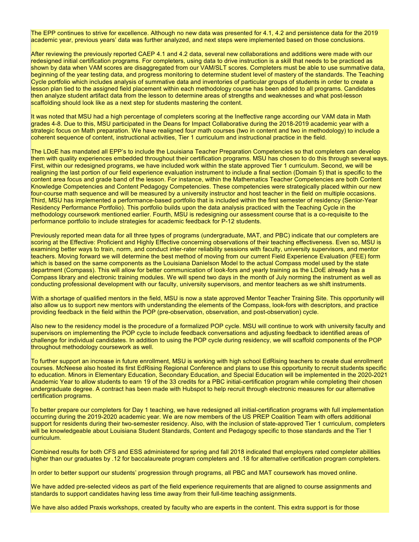The EPP continues to strive for excellence. Although no new data was presented for 4.1, 4.2 and persistence data for the 2019 academic year, previous years' data was further analyzed, and next steps were implemented based on those conclusions.

After reviewing the previously reported CAEP 4.1 and 4.2 data, several new collaborations and additions were made with our redesigned initial certification programs. For completers, using data to drive instruction is a skill that needs to be practiced as shown by data when VAM scores are disaggregated from our VAM/SLT scores. Completers must be able to use summative data, beginning of the year testing data, and progress monitoring to determine student level of mastery of the standards. The Teaching Cycle portfolio which includes analysis of summative data and inventories of particular groups of students in order to create a lesson plan tied to the assigned field placement within each methodology course has been added to all programs. Candidates then analyze student artifact data from the lesson to determine areas of strengths and weaknesses and what post-lesson scaffolding should look like as a next step for students mastering the content.

It was noted that MSU had a high percentage of completers scoring at the Ineffective range according our VAM data in Math grades 4-8. Due to this, MSU participated in the Deans for Impact Collaborative during the 2018-2019 academic year with a strategic focus on Math preparation. We have realigned four math courses (two in content and two in methodology) to include a coherent sequence of content, instructional activities, Tier 1 curriculum and instructional practice in the field.

The LDoE has mandated all EPP's to include the Louisiana Teacher Preparation Competencies so thatcompleters can develop them with quality experiences embedded throughout their certification programs. MSU has chosen to do this through several ways. First, within our redesigned programs, we have included work within the state approved Tier 1 curriculum. Second, we will be realigning the last portion of our field experience evaluation instrument to include a final section (Domain 5) that is specific to the content area focus and grade band of the lesson. For instance, within the Mathematics Teacher Competencies are both Content Knowledge Competencies and Content Pedagogy Competencies. These competencies were strategically placed within our new four-course math sequence and will be measured by a university instructor and host teacher in the field on multiple occasions. Third, MSU has implemented a performance-based portfolio that is included within the first semester of residency (Senior-Year Residency Performance Portfolio). This portfolio builds upon the data analysis practiced with the Teaching Cycle in the methodology coursework mentioned earlier. Fourth, MSU is redesigning our assessment course that is a co-requisite to the performance portfolio to include strategies for academic feedback for P-12 students.

Previously reported mean data for all three types of programs (undergraduate, MAT, and PBC) indicate that our completers are scoring at the Effective: Proficient and Highly Effective concerning observations of their teaching effectiveness. Even so, MSU is examining better ways to train, norm, and conduct inter-rater reliability sessions with faculty, university supervisors, and mentor teachers. Moving forward we will determine the best method of moving from our current Field Experience Evaluation (FEE) form which is based on the same components as the Louisiana Danielson Model to the actual Compass model used by the state department (Compass). This will allow for better communication of look-fors and yearly training as the LDoE already has a Compass library and electronic training modules. We will spend two days in the month of July norming the instrument as wellas conducting professional development with our faculty, university supervisors, and mentor teachers as we shift instruments.

With a shortage of qualified mentors in the field, MSU is now a state approved Mentor Teacher Training Site. This opportunity will also allow us to support new mentors with understanding the elements of the Compass, look-fors with descriptors, and practice providing feedback in the field within the POP (pre-observation, observation, and post-observation) cycle.

Also new to the residency model is the procedure of a formalized POP cycle. MSU will continue to work with university faculty and supervisors on implementing the POP cycle to include feedback conversations and adjusting feedback to identified areas of challenge for individual candidates. In addition to using the POP cycle during residency, we will scaffold components of the POP throughout methodology coursework as well.

To further support an increase in future enrollment, MSU is working with high school EdRising teachers to create dual enrollment courses. McNeese also hosted its first EdRising Regional Conference and plans to use this opportunity to recruit students specific to education. Minors in Elementary Education, Secondary Education, and Special Education will be implemented in the 2020-2021 Academic Year to allow students to earn 19 of the 33 credits for a PBC initial-certification program while completing their chosen undergraduate degree. A contract has been made with Hubspot to help recruit through electronic measures for our alternative certification programs.

To better prepare our completers for Day 1 teaching, we have redesigned all initial-certification programs with full implementation occurring during the 2019-2020 academic year. We are now members of the US PREP Coalition Team with offers additional support for residents during their two-semester residency. Also, with the inclusion of state-approved Tier 1 curriculum, completers will be knowledgeable about Louisiana Student Standards, Content and Pedagogy specific to those standards and the Tier 1 curriculum.

Combined results for both CFS and ESS administered for spring and fall 2018 indicated that employers rated completer abilities higher than our graduates by .12 for baccalaureate program completers and .18 for alternative certification program completers.

In order to better support our students' progression through programs, all PBC and MAT coursework has moved online.

We have added pre-selected videos as part of the field experience requirements that are aligned to course assignments and standards to support candidates having less time away from their full-time teaching assignments.

We have also added Praxis workshops, created by faculty who are experts in the content. This extra support is for those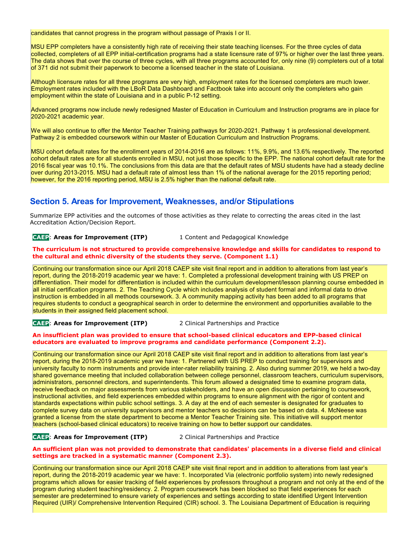candidates that cannot progress in the program without passage of Praxis I or II.

MSU EPP completers have a consistently high rate of receiving their state teaching licenses. For the three cycles of data collected, completers of all EPP initial-certification programs had a state licensure rate of 97% or higher over the last three years. The data shows that over the course of three cycles, with all three programs accounted for, only nine (9) completers out of a total of 371 did not submit their paperwork to become a licensed teacher in the state of Louisiana.

Although licensure rates for all three programs are very high, employment rates for the licensed completers are much lower. Employment rates included with the LBoR Data Dashboard and Factbook take into account only the completers who gain employment within the state of Louisiana and in a public P-12 setting.

Advanced programs now include newly redesigned Master of Education in Curriculum and Instruction programs are in place for 2020-2021 academic year.

We will also continue to offer the Mentor Teacher Training pathways for 2020-2021. Pathway 1 is professional development. Pathway 2 is embedded coursework within our Master of Education Curriculum and Instruction Programs.

MSU cohort default rates for the enrollment years of 2014-2016 are as follows: 11%, 9.9%, and 13.6% respectively. The reported cohort default rates are for all students enrolled in MSU, not just those specific to the EPP. The national cohort default rate for the 2016 fiscal year was 10.1%. The conclusions from this data are thatthe default rates of MSU students have had a steady decline over during 2013-2015. MSU had a default rate of almost less than 1% of the national average for the 2015 reporting period; however, for the 2016 reporting period, MSU is 2.5% higher than the national default rate.

## **Section 5. Areas for Improvement, Weaknesses, and/or Stipulations**

Summarize EPP activities and the outcomes of those activities as they relate to correcting the areas cited in the last Accreditation Action/Decision Report.

### **CAEP**: **Areas for Improvement (ITP)** 1 Content and Pedagogical Knowledge

#### **The curriculum is not structured to provide comprehensive knowledge and skills for candidates to respond to the cultural and ethnic diversity of the students they serve. (Component 1.1)**

Continuing our transformation since our April 2018 CAEP site visit final report and in addition to alterations from last year's report, during the 2018-2019 academic year we have: 1. Completed a professional development training with US PREP on differentiation. Their model for differentiation is included within the curriculum development/lesson planning course embedded in all initial certification programs. 2. The Teaching Cycle which includes analysis of student formal and informal data to drive instruction is embedded in all methods coursework. 3. A community mapping activity has been added to all programs that requires students to conduct a geographical search in order to determine the environment and opportunities available to the students in their assigned field placement school.

**CAEP**: **Areas for Improvement (ITP)** 2 Clinical Partnerships and Practice

#### **An insufficient plan was provided to ensure that school-based clinical educators and EPP-based clinical educators are evaluated to improve programs and candidate performance (Component 2.2).**

Continuing our transformation since our April 2018 CAEP site visit final report and in addition to alterations from last year's report, during the 2018-2019 academic year we have: 1. Partnered with US PREP to conduct training for supervisors and university faculty to norm instruments and provide inter-rater reliability training. 2. Also during summer 2019, we held a two-day shared governance meeting that included collaboration between college personnel, classroom teachers, curriculum supervisors, administrators, personnel directors, and superintendents. This forum allowed a designated time to examine program data, receive feedback on major assessments from various stakeholders, and have an open discussion pertaining to coursework, instructional activities, and field experiences embedded within programs to ensure alignment with the rigor of content and standards expectations within public school settings. 3. A day at the end of each semester is designated for graduates to complete survey data on university supervisors and mentor teachers so decisions can be based on data. 4. McNeese was granted a license from the state department to become a Mentor Teacher Training site. This initiative will support mentor teachers (school-based clinical educators) to receive training on how to better support our candidates.

#### **CAEP**: **Areas for Improvement (ITP)** 2 Clinical Partnerships and Practice

#### An sufficient plan was not provided to demonstrate that candidates' placements in a diverse field and clinical **settings are tracked in a systematic manner (Component 2.3).**

Continuing our transformation since our April 2018 CAEP site visitfinal report and in addition to alterations from last year's report, during the 2018-2019 academic year we have: 1. Incorporated Via (electronic portfolio system) into newly redesigned programs which allows for easier tracking of field experiences by professors throughout a program and not only at the end of the program during student teaching/residency. 2. Program coursework has been blocked so thatfield experiences for each semester are predetermined to ensure variety of experiences and settings according to state identified Urgent Intervention Required (UIR)/ Comprehensive Intervention Required (CIR) school. 3. The Louisiana Department of Education is requiring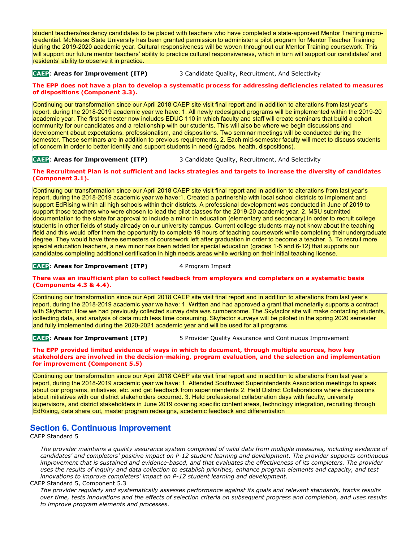student teachers/residency candidates to be placed with teachers who have completed a state-approved Mentor Training micro credential. McNeese State University has been granted permission to administer a pilot program for Mentor Teacher Training during the 2019-2020 academic year. Cultural responsiveness will be woven throughout our Mentor Training coursework. This will support our future mentor teachers' ability to practice cultural responsiveness, which in turn will support our candidates' and residents' ability to observe it in practice.

**CAEP**: **Areas for Improvement (ITP)** 3 Candidate Quality, Recruitment, And Selectivity

#### The EPP does not have a plan to develop a systematic process for addressing deficiencies related to measures **of dispositions (Component 3.3).**

Continuing our transformation since our April 2018 CAEP site visit final report and in addition to alterations from last year's report, during the 2018-2019 academic year we have: 1. All newly redesigned programs will be implemented within the 2019-20 academic year. The first semester now includes EDUC 110 in which faculty and staff will create seminars that build a cohort community for our candidates and a relationship with our students. This will also be where we begin discussions and development about expectations, professionalism, and dispositions. Two seminar meetings will be conducted during the semester. These seminars are in addition to previous requirements. 2. Each mid-semester faculty will meet to discuss students of concern in order to better identify and support students in need (grades, health, dispositions).

**CAEP**: **Areas for Improvement (ITP)** 3 Candidate Quality, Recruitment, And Selectivity

#### The Recruitment Plan is not sufficient and lacks strategies and targets to increase the diversity of candidates **(Component 3.1).**

Continuing our transformation since our April 2018 CAEP site visit final report and in addition to alterations from last year's report, during the 2018-2019 academic year we have:1. Created a partnership with localschool districts to implement and support EdRising within all high schools within their districts. A professional development was conducted in June of 2019 to support those teachers who were chosen to lead the pilot classes for the 2019-20 academic year. 2. MSU submitted documentation to the state for approval to include a minor in education (elementary and secondary) in order to recruit college students in other fields of study already on our university campus. Current college students may not know about the teaching field and this would offer them the opportunity to complete 19 hours of teaching coursework while completing their undergraduate degree. They would have three semesters of coursework left after graduation in order to become a teacher. 3. To recruit more special education teachers, a new minor has been added for special education (grades 1-5 and 6-12) that supports our candidates completing additional certification in high needs areas while working on their initial teaching license.

#### **CAEP**: **Areas for Improvement (ITP)** 4 Program Impact

#### **There was an insufficient plan to collect feedback from employers and completers on a systematic basis (Components 4.3 & 4.4).**

Continuing our transformation since our April 2018 CAEP site visitfinal report and in addition to alterations from last year's report, during the 2018-2019 academic year we have: 1. Written and had approved a grant that monetarily supports a contract with Skyfactor. How we had previously collected survey data was cumbersome. The Skyfactor site will make contacting students, collecting data, and analysis of data much less time consuming. Skyfactor surveys will be piloted in the spring 2020 semester and fully implemented during the 2020-2021 academic year and will be used for all programs.

### **CAEP**: **Areas for Improvement (ITP)** 5 Provider Quality Assurance and Continuous Improvement

#### **The EPP provided limited evidence of ways in which to document, through multiple sources, how key stakeholders are involved in the decision-making, program evaluation, and the selection and implementation for improvement (Component 5.5)**

Continuing our transformation since our April 2018 CAEP site visitfinal report and in addition to alterations from last year's report, during the 2018-2019 academic year we have: 1. Attended Southwest Superintendents Association meetings to speak about our programs, initiatives, etc. and get feedback from superintendents 2. Held District Collaborations where discussions about initiatives with our district stakeholders occurred. 3. Held professional collaboration days with faculty, university supervisors, and district stakeholders in June 2019 covering specific content areas, technology integration, recruiting through EdRising, data share out, master program redesigns, academic feedback and differentiation

## **Section 6. Continuous Improvement**

CAEP Standard 5

The provider maintains a quality assurance system comprised of valid data from multiple measures, including evidence of *candidates' and completers' positive impact on P-12 student learning and development. The provider supports continuous* improvement that is sustained and evidence-based, and that evaluates the effectiveness of its completers. The provider uses the results of inquiry and data collection to establish priorities, enhance program elements and capacity, and test *innovations to improve completers' impact on P-12 student learning and development.*

#### CAEP Standard 5, Component 5.3

*The provider regularly and systematically assesses performance against its goals and relevant standards, tracks results* over time, tests innovations and the effects of selection criteria on subsequent progress and completion, and uses results *to improve program elements and processes.*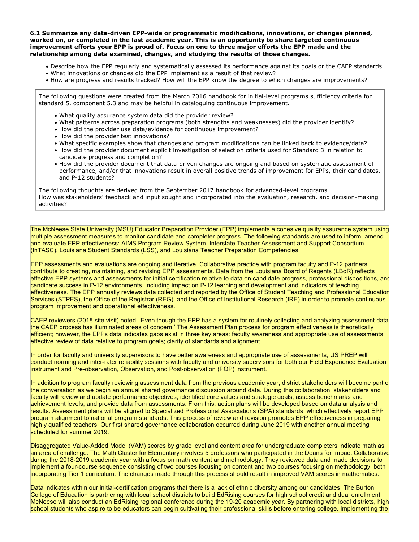**6.1 Summarize any data-driven EPP-wide or programmatic modifications, innovations, or changes planned, worked on, or completed in the last academic year. This is an opportunity to share targeted continuous** improvement efforts your EPP is proud of. Focus on one to three major efforts the EPP made and the **relationship among data examined, changes, and studying the results of those changes.**

- Describe how the EPP regularly and systematically assessed its performance against its goals or the CAEP standards.
- What innovations or changes did the EPP implement as a result of that review?
- How are progress and results tracked? How will the EPP know the degree to which changes are improvements?

The following questions were created from the March 2016 handbook for initial-level programs sufficiency criteria for standard 5, component 5.3 and may be helpful in cataloguing continuous improvement.

- What quality assurance system data did the provider review?
- What patterns across preparation programs (both strengths and weaknesses) did the provider identify?
- $\bullet$  How did the provider use data/evidence for continuous improvement?
- How did the provider test innovations?
- What specific examples show that changes and program modifications can be linked back to evidence/data?
- How did the provider document explicit investigation of selection criteria used for Standard 3 in relation to candidate progress and completion?
- How did the provider document that data-driven changes are ongoing and based on systematic assessment of performance, and/or that innovations result in overall positive trends of improvement for EPPs, their candidates, and P-12 students?

The following thoughts are derived from the September 2017 handbook for advanced-level programs How was stakeholders' feedback and input sought and incorporated into the evaluation, research, and decision-making activities?

The McNeese State University (MSU) Educator Preparation Provider (EPP) implements a cohesive quality assurance system using multiple assessment measures to monitor candidate and completer progress. The following standards are used to inform, amend and evaluate EPP effectiveness: AIMS Program Review System, Interstate Teacher Assessment and Support Consortium (InTASC), Louisiana Student Standards (LSS), and Louisiana Teacher Preparation Competencies.

EPP assessments and evaluations are ongoing and iterative. Collaborative practice with program faculty and P-12 partners contribute to creating, maintaining, and revising EPP assessments. Data from the Louisiana Board of Regents (LBoR) reflects effective EPP systems and assessments for initial certification relative to data on candidate progress, professional dispositions, and candidate success in P-12 environments, including impact on P-12 learning and development and indicators of teaching effectiveness. The EPP annually reviews data collected and reported by the Office of Student Teaching and Professional Education Services (STPES), the Office of the Registrar (REG), and the Office of Institutional Research (IRE) in order to promote continuous program improvement and operational effectiveness.

CAEP reviewers (2018 site visit) noted, 'Even though the EPP has a system for routinely collecting and analyzing assessment data the CAEP process has illuminated areas of concern.' The Assessment Plan process for program effectiveness is theoretically efficient; however, the EPPs data indicates gaps exist in three key areas: faculty awareness and appropriate use of assessments, effective review of data relative to program goals; clarity of standards and alignment.

In order for faculty and university supervisors to have better awareness and appropriate use of assessments, US PREP will conduct norming and inter-rater reliability sessions with faculty and university supervisors for both our Field Experience Evaluation instrument and Pre-observation, Observation, and Post-observation (POP) instrument.

In addition to program faculty reviewing assessment data from the previous academic year, district stakeholders will become partof the conversation as we begin an annual shared governance discussion around data. During this collaboration, stakeholders and faculty will review and update performance objectives, identified core values and strategic goals, assess benchmarks and achievement levels, and provide data from assessments. From this, action plans will be developed based on data analysis and results. Assessment plans will be aligned to Specialized Professional Associations (SPA) standards, which effectively report EPP program alignment to national program standards. This process of review and revision promotes EPP effectiveness in preparing highly qualified teachers. Our first shared governance collaboration occurred during June 2019 with another annual meeting scheduled for summer 2019.

Disaggregated Value-Added Model (VAM) scores by grade level and content area for undergraduate completers indicate math as an area of challenge. The Math Cluster for Elementary involves 5 professors who participated in the Deans for Impact Collaborative during the 2018-2019 academic year with a focus on math content and methodology. They reviewed data and made decisions to implement a four-course sequence consisting of two courses focusing on content and two courses focusing on methodology, both incorporating Tier 1 curriculum. The changes made through this process should result in improved VAM scores in mathematics.

Data indicates within our initial-certification programs that there is a lack of ethnic diversity among our candidates. The Burton College of Education is partnering with local school districts to build EdRising courses for high school credit and dual enrollment. McNeese will also conduct an EdRising regional conference during the 19-20 academic year. By partnering with local districts, high school students who aspire to be educators can begin cultivating their professional skills before entering college. Implementing the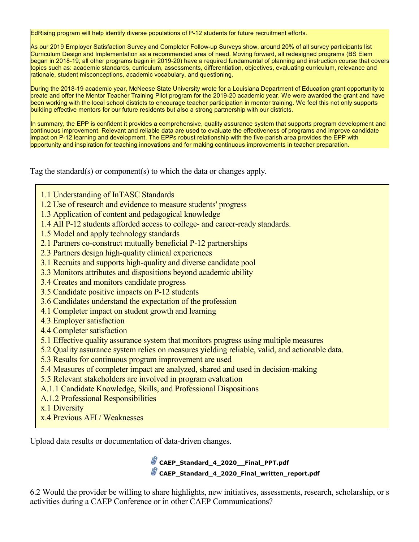EdRising program will help identify diverse populations of P-12 students for future recruitment efforts.

As our 2019 Employer Satisfaction Survey and Completer Follow-up Surveys show, around 20% of all survey participants list Curriculum Design and Implementation as a recommended area of need. Moving forward, all redesigned programs (BS Elem began in 2018-19; all other programs begin in 2019-20) have a required fundamental of planning and instruction course that covers topics such as: academic standards, curriculum, assessments, differentiation, objectives, evaluating curriculum, relevance and rationale, student misconceptions, academic vocabulary, and questioning.

During the 2018-19 academic year, McNeese State University wrote for a Louisiana Department of Education grant opportunity to create and offer the Mentor Teacher Training Pilot program for the 2019-20 academic year. We were awarded the grant and have been working with the local school districts to encourage teacher participation in mentor training. We feel this not only supports building effective mentors for our future residents but also a strong partnership with our districts.

In summary, the EPP is confident it provides a comprehensive, quality assurance system that supports program development and continuous improvement. Relevant and reliable data are used to evaluate the effectiveness of programs and improve candidate impact on P-12 learning and development. The EPPs robust relationship with the five-parish area provides the EPP with opportunity and inspiration for teaching innovations and for making continuous improvements in teacher preparation.

Tag the standard(s) or component(s) to which the data or changes apply.

- 1.1 Understanding of InTASC Standards
- 1.2 Use of research and evidence to measure students' progress
- 1.3 Application of content and pedagogical knowledge
- 1.4 All P-12 students afforded access to college- and career-ready standards.
- 1.5 Model and apply technology standards
- 2.1 Partners co-construct mutually beneficial P-12 partnerships
- 2.3 Partners design high-quality clinical experiences
- 3.1 Recruits and supports high-quality and diverse candidate pool
- 3.3 Monitors attributes and dispositions beyond academic ability
- 3.4 Creates and monitors candidate progress
- 3.5 Candidate positive impacts on P-12 students
- 3.6 Candidates understand the expectation of the profession
- 4.1 Completer impact on student growth and learning
- 4.3 Employer satisfaction
- 4.4 Completer satisfaction
- 5.1 Effective quality assurance system that monitors progress using multiple measures
- 5.2 Quality assurance system relies on measures yielding reliable, valid, and actionable data.
- 5.3 Results for continuous program improvement are used
- 5.4 Measures of completer impact are analyzed, shared and used in decision-making
- 5.5 Relevant stakeholders are involved in program evaluation
- A.1.1 Candidate Knowledge, Skills, and Professional Dispositions
- A.1.2 Professional Responsibilities
- x.1 Diversity
- x.4 Previous AFI / Weaknesses

Upload data results or documentation of data-driven changes.

**CAEP\_Standard\_4\_2020\_\_Final\_PPT.pdf CAEP\_Standard\_4\_2020\_Final\_written\_report.pdf**

6.2 Would the provider be willing to share highlights, new initiatives, assessments, research, scholarship, or s activities during a CAEP Conference or in other CAEP Communications?